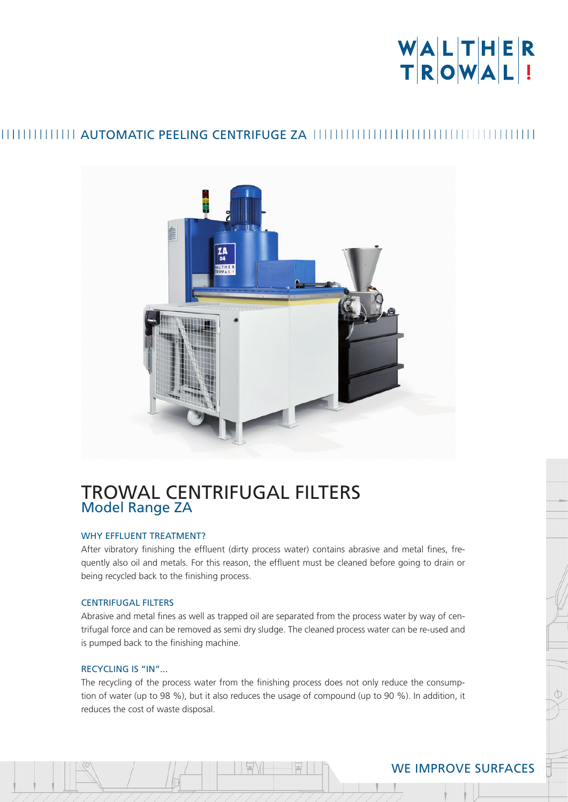# WALTHER<br>TROWAL!

### AUTOMATIC PEELING CENTRIFUGE ZA



## TROWAL CENTRIFUGAL FILTERS Model Range ZA

#### WHY EFFLUENT TREATMENT?

After vibratory finishing the effluent (dirty process water) contains abrasive and metal fines, frequently also oil and metals. For this reason, the effluent must be cleaned before going to drain or being recycled back to the finishing process.

#### CENTRIFUGAL FILTERS

Abrasive and metal fines as well as trapped oil are separated from the process water by way of centrifugal force and can be removed as semi dry sludge. The cleaned process water can be re-used and is pumped back to the finishing machine.

#### RECYCLING IS "IN"...

The recycling of the process water from the finishing process does not only reduce the consumption of water (up to 98 %), but it also reduces the usage of compound (up to 90 %). In addition, it reduces the cost of waste disposal.